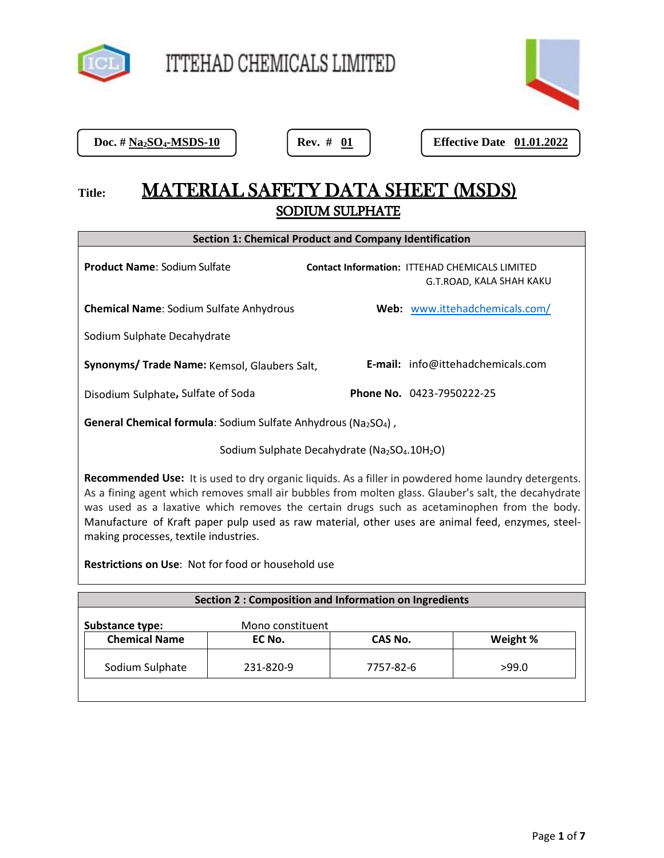

Doc. # Na<sub>2</sub>SO<sub>4</sub>-MSDS-10

**Doc. # 01 | Effective Date 01.01.2022** 

# **Title:** MATERIAL SAFETY DATA SHEET (MSDS) SODIUM SULPHATE

| <b>Section 1: Chemical Product and Company Identification</b>                                                                                                                                                                                                                                                                                                                                                                                                    |                                                                                   |  |
|------------------------------------------------------------------------------------------------------------------------------------------------------------------------------------------------------------------------------------------------------------------------------------------------------------------------------------------------------------------------------------------------------------------------------------------------------------------|-----------------------------------------------------------------------------------|--|
| <b>Product Name: Sodium Sulfate</b>                                                                                                                                                                                                                                                                                                                                                                                                                              | <b>Contact Information: ITTEHAD CHEMICALS LIMITED</b><br>G.T.ROAD, KALA SHAH KAKU |  |
| <b>Chemical Name: Sodium Sulfate Anhydrous</b>                                                                                                                                                                                                                                                                                                                                                                                                                   | Web: www.ittehadchemicals.com/                                                    |  |
| Sodium Sulphate Decahydrate                                                                                                                                                                                                                                                                                                                                                                                                                                      |                                                                                   |  |
| Synonyms/ Trade Name: Kemsol, Glaubers Salt,                                                                                                                                                                                                                                                                                                                                                                                                                     | <b>E-mail:</b> info@ittehadchemicals.com                                          |  |
| Disodium Sulphate, Sulfate of Soda                                                                                                                                                                                                                                                                                                                                                                                                                               | <b>Phone No.</b> 0423-7950222-25                                                  |  |
| <b>General Chemical formula</b> : Sodium Sulfate Anhydrous (Na <sub>2</sub> SO <sub>4</sub> ),                                                                                                                                                                                                                                                                                                                                                                   |                                                                                   |  |
| Sodium Sulphate Decahydrate (Na2SO4.10H2O)                                                                                                                                                                                                                                                                                                                                                                                                                       |                                                                                   |  |
| <b>Recommended Use:</b> It is used to dry organic liquids. As a filler in powdered home laundry detergents.<br>As a fining agent which removes small air bubbles from molten glass. Glauber's salt, the decahydrate<br>was used as a laxative which removes the certain drugs such as acetaminophen from the body.<br>Manufacture of Kraft paper pulp used as raw material, other uses are animal feed, enzymes, steel-<br>making processes, textile industries. |                                                                                   |  |

**Restrictions on Use**: Not for food or household use

| <b>Section 2: Composition and Information on Ingredients</b> |                  |           |          |
|--------------------------------------------------------------|------------------|-----------|----------|
| Substance type:                                              | Mono constituent |           |          |
| <b>Chemical Name</b>                                         | EC No.           | CAS No.   | Weight % |
| Sodium Sulphate                                              | 231-820-9        | 7757-82-6 | >99.0    |
|                                                              |                  |           |          |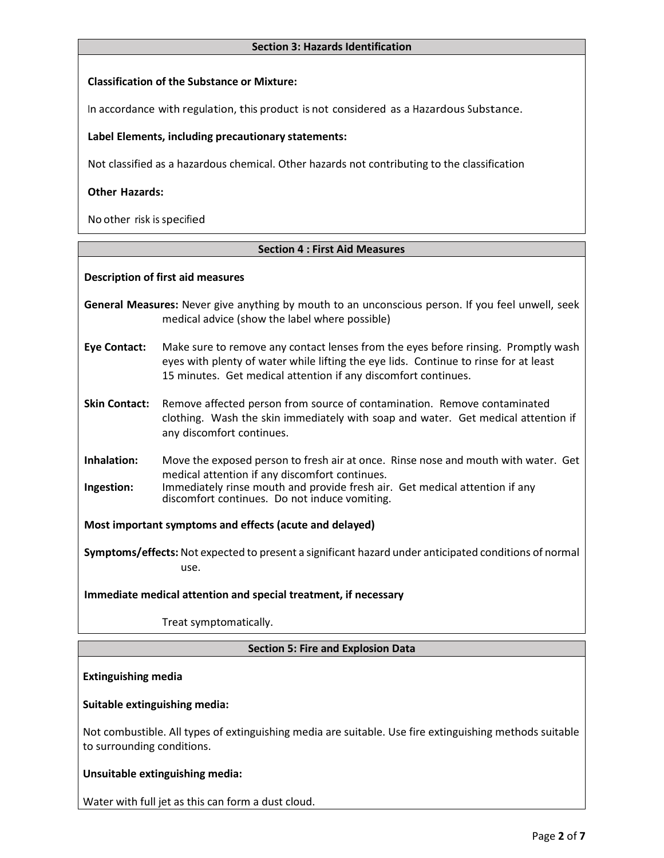#### **Section 3: Hazards Identification**

## **Classification of the Substance or Mixture:**

In accordance with regulation, this product is not considered as a Hazardous Substance.

## **Label Elements, including precautionary statements:**

Not classified as a hazardous chemical. Other hazards not contributing to the classification

## **Other Hazards:**

No other risk is specified

#### **Section 4 : First Aid Measures**

#### **Description of first aid measures**

**General Measures:** Never give anything by mouth to an unconscious person. If you feel unwell, seek medical advice (show the label where possible)

**Eye Contact:** Make sure to remove any contact lenses from the eyes before rinsing. Promptly wash eyes with plenty of water while lifting the eye lids. Continue to rinse for at least 15 minutes. Get medical attention if any discomfort continues.

**Skin Contact:** Remove affected person from source of contamination. Remove contaminated clothing. Wash the skin immediately with soap and water. Get medical attention if any discomfort continues.

**Inhalation:** Move the exposed person to fresh air at once. Rinse nose and mouth with water. Get medical attention if any discomfort continues.

**Ingestion:** Immediately rinse mouth and provide fresh air. Get medical attention if any discomfort continues. Do not induce vomiting.

**Most important symptoms and effects (acute and delayed)**

**Symptoms/effects:** Not expected to present a significant hazard under anticipated conditions of normal use.

**Immediate medical attention and special treatment, if necessary**

Treat symptomatically.

#### **Section 5: Fire and Explosion Data**

**Extinguishing media**

#### **Suitable extinguishing media:**

Not combustible. All types of extinguishing media are suitable. Use fire extinguishing methods suitable to surrounding conditions.

# **Unsuitable extinguishing media:**

Water with full jet as this can form a dust cloud.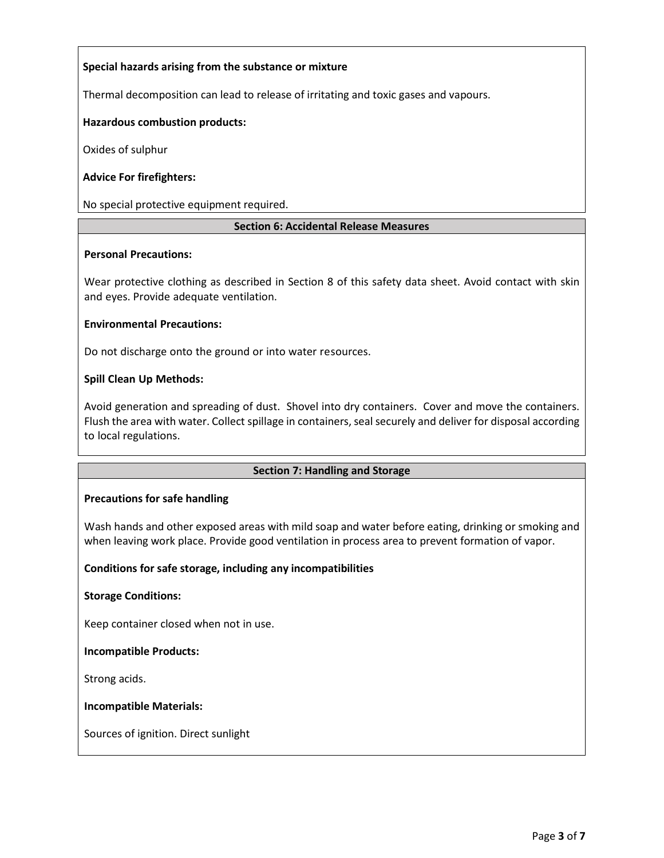# **Special hazards arising from the substance or mixture**

Thermal decomposition can lead to release of irritating and toxic gases and vapours.

## **Hazardous combustion products:**

Oxides of sulphur

## **Advice For firefighters:**

No special protective equipment required.

## **Section 6: Accidental Release Measures**

#### **Personal Precautions:**

Wear protective clothing as described in Section 8 of this safety data sheet. Avoid contact with skin and eyes. Provide adequate ventilation.

#### **Environmental Precautions:**

Do not discharge onto the ground or into water resources.

## **Spill Clean Up Methods:**

Avoid generation and spreading of dust. Shovel into dry containers. Cover and move the containers. Flush the area with water. Collect spillage in containers, seal securely and deliver for disposal according to local regulations.

#### **Section 7: Handling and Storage**

#### **Precautions for safe handling**

Wash hands and other exposed areas with mild soap and water before eating, drinking or smoking and when leaving work place. Provide good ventilation in process area to prevent formation of vapor.

#### **Conditions for safe storage, including any incompatibilities**

#### **Storage Conditions:**

Keep container closed when not in use.

#### **Incompatible Products:**

Strong acids.

#### **Incompatible Materials:**

Sources of ignition. Direct sunlight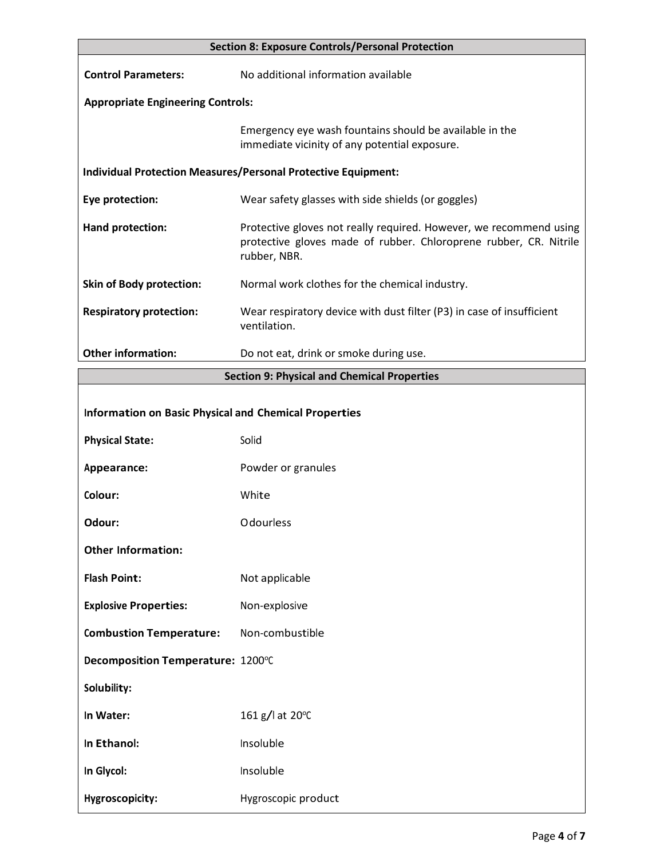|                                                                      | <b>Section 8: Exposure Controls/Personal Protection</b>                                                                                                 |  |
|----------------------------------------------------------------------|---------------------------------------------------------------------------------------------------------------------------------------------------------|--|
| <b>Control Parameters:</b>                                           | No additional information available                                                                                                                     |  |
| <b>Appropriate Engineering Controls:</b>                             |                                                                                                                                                         |  |
|                                                                      | Emergency eye wash fountains should be available in the<br>immediate vicinity of any potential exposure.                                                |  |
| <b>Individual Protection Measures/Personal Protective Equipment:</b> |                                                                                                                                                         |  |
| Eye protection:                                                      | Wear safety glasses with side shields (or goggles)                                                                                                      |  |
| Hand protection:                                                     | Protective gloves not really required. However, we recommend using<br>protective gloves made of rubber. Chloroprene rubber, CR. Nitrile<br>rubber, NBR. |  |
| <b>Skin of Body protection:</b>                                      | Normal work clothes for the chemical industry.                                                                                                          |  |
| <b>Respiratory protection:</b>                                       | Wear respiratory device with dust filter (P3) in case of insufficient<br>ventilation.                                                                   |  |
| <b>Other information:</b>                                            | Do not eat, drink or smoke during use.                                                                                                                  |  |
|                                                                      | <b>Section 9: Physical and Chemical Properties</b>                                                                                                      |  |
| <b>Information on Basic Physical and Chemical Properties</b>         |                                                                                                                                                         |  |
| <b>Physical State:</b>                                               | Solid                                                                                                                                                   |  |
| Appearance:                                                          | Powder or granules                                                                                                                                      |  |
| Colour:                                                              | White                                                                                                                                                   |  |
| Odour:                                                               | Odourless                                                                                                                                               |  |
| <b>Other Information:</b>                                            |                                                                                                                                                         |  |
| <b>Flash Point:</b>                                                  | Not applicable                                                                                                                                          |  |
| <b>Explosive Properties:</b>                                         | Non-explosive                                                                                                                                           |  |
| <b>Combustion Temperature:</b>                                       | Non-combustible                                                                                                                                         |  |
| Decomposition Temperature: 1200°C                                    |                                                                                                                                                         |  |
| Solubility:                                                          |                                                                                                                                                         |  |
| In Water:                                                            | 161 g/l at 20°C                                                                                                                                         |  |

In **Ethanol:** Insoluble

**In Glycol:** Insoluble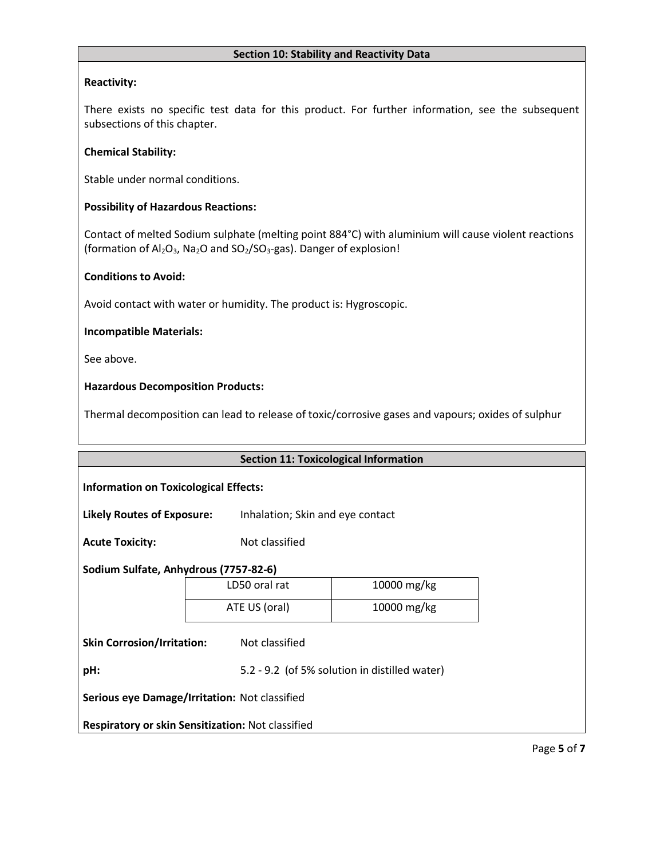## **Section 10: Stability and Reactivity Data**

# **Reactivity:**

There exists no specific test data for this product. For further information, see the subsequent subsections of this chapter.

### **Chemical Stability:**

Stable under normal conditions.

## **Possibility of Hazardous Reactions:**

Contact of melted Sodium sulphate (melting point 884°C) with aluminium will cause violent reactions (formation of  $Al_2O_3$ , Na<sub>2</sub>O and SO<sub>2</sub>/SO<sub>3</sub>-gas). Danger of explosion!

## **Conditions to Avoid:**

Avoid contact with water or humidity. The product is: Hygroscopic.

## **Incompatible Materials:**

See above.

# **Hazardous Decomposition Products:**

Thermal decomposition can lead to release of toxic/corrosive gases and vapours; oxides of sulphur

|                                                   | <b>Section 11: Toxicological Information</b> |                                               |  |
|---------------------------------------------------|----------------------------------------------|-----------------------------------------------|--|
| <b>Information on Toxicological Effects:</b>      |                                              |                                               |  |
| <b>Likely Routes of Exposure:</b>                 | Inhalation; Skin and eye contact             |                                               |  |
| <b>Acute Toxicity:</b>                            | Not classified                               |                                               |  |
| Sodium Sulfate, Anhydrous (7757-82-6)             |                                              |                                               |  |
|                                                   | LD50 oral rat                                | 10000 mg/kg                                   |  |
|                                                   | ATE US (oral)                                | 10000 mg/kg                                   |  |
| <b>Skin Corrosion/Irritation:</b>                 | Not classified                               |                                               |  |
| pH:                                               |                                              | 5.2 - 9.2 (of 5% solution in distilled water) |  |
| Serious eye Damage/Irritation: Not classified     |                                              |                                               |  |
| Respiratory or skin Sensitization: Not classified |                                              |                                               |  |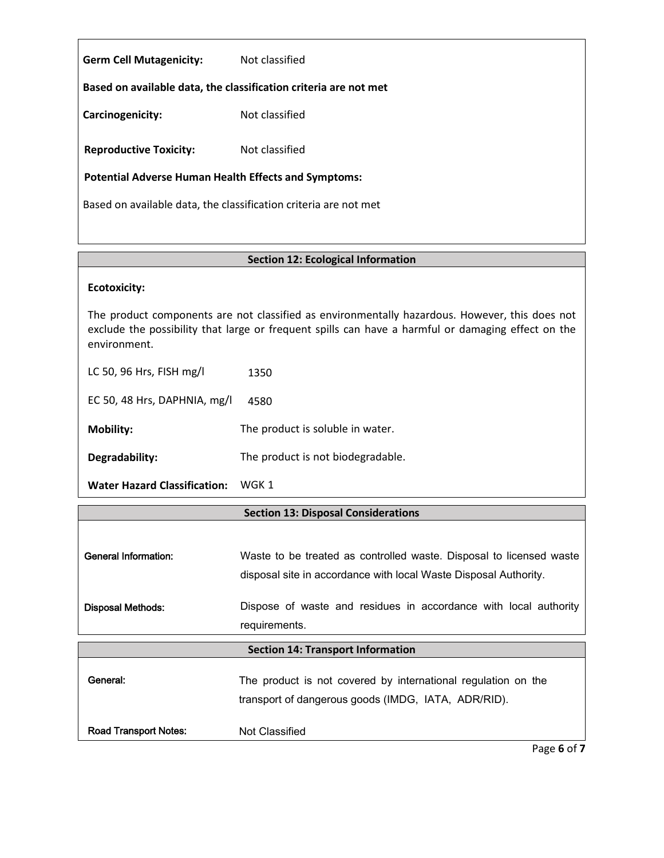| <b>Germ Cell Mutagenicity:</b>                                   | Not classified |  |
|------------------------------------------------------------------|----------------|--|
| Based on available data, the classification criteria are not met |                |  |
| Carcinogenicity:                                                 | Not classified |  |
| <b>Reproductive Toxicity:</b>                                    | Not classified |  |
| <b>Potential Adverse Human Health Effects and Symptoms:</b>      |                |  |
| Based on available data, the classification criteria are not met |                |  |

# **Section 12: Ecological Information**

## **Ecotoxicity:**

The product components are not classified as environmentally hazardous. However, this does not exclude the possibility that large or frequent spills can have a harmful or damaging effect on the environment.

LC 50, 96 Hrs, FISH mg/l 1350

EC 50, 48 Hrs, DAPHNIA, mg/l 4580

**Mobility:** The product is soluble in water.

**Degradability:** The product is not biodegradable.

**Water Hazard Classification:** WGK 1

# **Section 13: Disposal Considerations**

| <b>General Information:</b> | Waste to be treated as controlled waste. Disposal to licensed waste<br>disposal site in accordance with local Waste Disposal Authority. |
|-----------------------------|-----------------------------------------------------------------------------------------------------------------------------------------|
| <b>Disposal Methods:</b>    | Dispose of waste and residues in accordance with local authority<br>requirements.                                                       |

# **Section 14: Transport Information**

| General: | The product is not covered by international regulation on the |
|----------|---------------------------------------------------------------|
|          | transport of dangerous goods (IMDG, IATA, ADR/RID).           |

Road Transport Notes: Not Classified

Page **6** of **7**